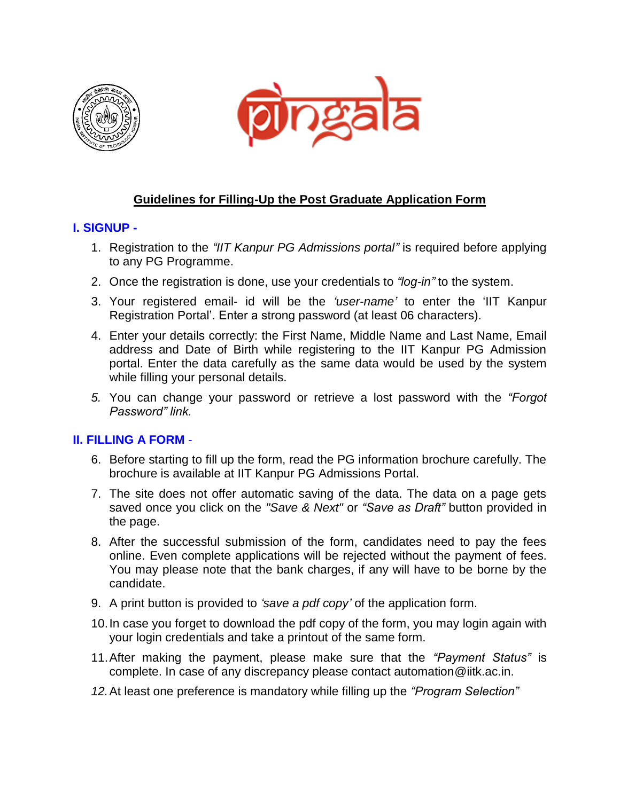



## **Guidelines for Filling-Up the Post Graduate Application Form**

## **I. SIGNUP -**

- 1. Registration to the *"IIT Kanpur PG Admissions portal"* is required before applying to any PG Programme.
- 2. Once the registration is done, use your credentials to *"log-in"* to the system.
- 3. Your registered email- id will be the *'user-name'* to enter the 'IIT Kanpur Registration Portal'. Enter a strong password (at least 06 characters).
- 4. Enter your details correctly: the First Name, Middle Name and Last Name, Email address and Date of Birth while registering to the IIT Kanpur PG Admission portal. Enter the data carefully as the same data would be used by the system while filling your personal details.
- *5.* You can change your password or retrieve a lost password with the *"Forgot Password" link.*

## **II. FILLING A FORM** -

- 6. Before starting to fill up the form, read the PG information brochure carefully. The brochure is available at IIT Kanpur PG Admissions Portal.
- 7. The site does not offer automatic saving of the data. The data on a page gets saved once you click on the *"Save & Next"* or *"Save as Draft"* button provided in the page.
- 8. After the successful submission of the form, candidates need to pay the fees online. Even complete applications will be rejected without the payment of fees. You may please note that the bank charges, if any will have to be borne by the candidate.
- 9. A print button is provided to *'save a pdf copy'* of the application form.
- 10.In case you forget to download the pdf copy of the form, you may login again with your login credentials and take a printout of the same form.
- 11.After making the payment, please make sure that the *"Payment Status"* is complete. In case of any discrepancy please contact automation@iitk.ac.in.
- *12.*At least one preference is mandatory while filling up the *"Program Selection"*